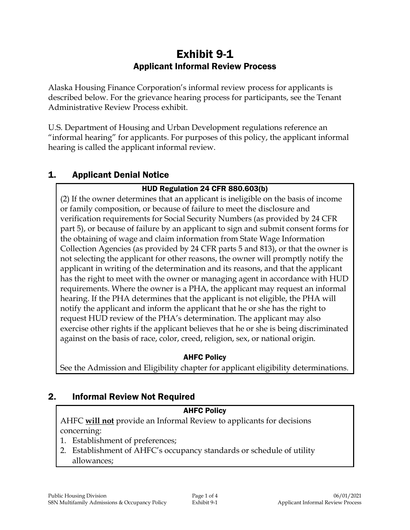# Exhibit 9-1 Applicant Informal Review Process

Alaska Housing Finance Corporation's informal review process for applicants is described below. For the grievance hearing process for participants, see the Tenant Administrative Review Process exhibit.

U.S. Department of Housing and Urban Development regulations reference an "informal hearing" for applicants. For purposes of this policy, the applicant informal hearing is called the applicant informal review.

## 1. Applicant Denial Notice

### HUD Regulation 24 CFR 880.603(b)

(2) If the owner determines that an applicant is ineligible on the basis of income or family composition, or because of failure to meet the disclosure and verification requirements for Social Security Numbers (as provided by 24 CFR part 5), or because of failure by an applicant to sign and submit consent forms for the obtaining of wage and claim information from State Wage Information Collection Agencies (as provided by 24 CFR parts 5 and 813), or that the owner is not selecting the applicant for other reasons, the owner will promptly notify the applicant in writing of the determination and its reasons, and that the applicant has the right to meet with the owner or managing agent in accordance with HUD requirements. Where the owner is a PHA, the applicant may request an informal hearing. If the PHA determines that the applicant is not eligible, the PHA will notify the applicant and inform the applicant that he or she has the right to request HUD review of the PHA's determination. The applicant may also exercise other rights if the applicant believes that he or she is being discriminated against on the basis of race, color, creed, religion, sex, or national origin.

#### AHFC Policy

See the Admission and Eligibility chapter for applicant eligibility determinations.

# 2. Informal Review Not Required

#### AHFC Policy

AHFC **will not** provide an Informal Review to applicants for decisions concerning:

- 1. Establishment of preferences;
- 2. Establishment of AHFC's occupancy standards or schedule of utility allowances;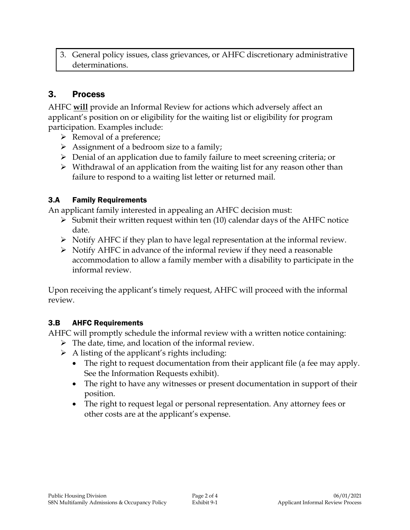3. General policy issues, class grievances, or AHFC discretionary administrative determinations.

## 3. Process

AHFC **will** provide an Informal Review for actions which adversely affect an applicant's position on or eligibility for the waiting list or eligibility for program participation. Examples include:

- $\triangleright$  Removal of a preference;
- Assignment of a bedroom size to a family;
- $\triangleright$  Denial of an application due to family failure to meet screening criteria; or
- $\triangleright$  Withdrawal of an application from the waiting list for any reason other than failure to respond to a waiting list letter or returned mail.

#### 3.A Family Requirements

An applicant family interested in appealing an AHFC decision must:

- $\triangleright$  Submit their written request within ten (10) calendar days of the AHFC notice date.
- $\triangleright$  Notify AHFC if they plan to have legal representation at the informal review.
- $\triangleright$  Notify AHFC in advance of the informal review if they need a reasonable accommodation to allow a family member with a disability to participate in the informal review.

Upon receiving the applicant's timely request, AHFC will proceed with the informal review.

#### 3.B AHFC Requirements

AHFC will promptly schedule the informal review with a written notice containing:

- $\triangleright$  The date, time, and location of the informal review.
- $\triangleright$  A listing of the applicant's rights including:
	- The right to request documentation from their applicant file (a fee may apply. See the Information Requests exhibit).
	- The right to have any witnesses or present documentation in support of their position.
	- The right to request legal or personal representation. Any attorney fees or other costs are at the applicant's expense.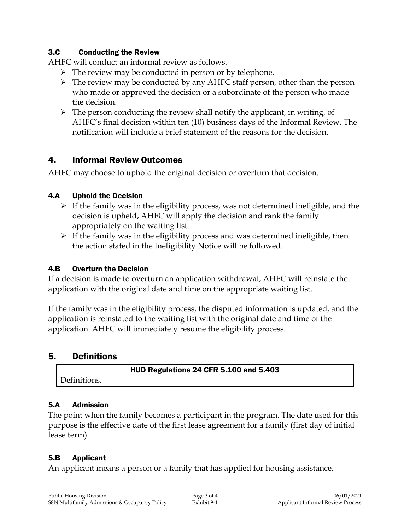#### 3.C Conducting the Review

AHFC will conduct an informal review as follows.

- $\triangleright$  The review may be conducted in person or by telephone.
- $\triangleright$  The review may be conducted by any AHFC staff person, other than the person who made or approved the decision or a subordinate of the person who made the decision.
- $\triangleright$  The person conducting the review shall notify the applicant, in writing, of AHFC's final decision within ten (10) business days of the Informal Review. The notification will include a brief statement of the reasons for the decision.

## 4. Informal Review Outcomes

AHFC may choose to uphold the original decision or overturn that decision.

#### 4.A Uphold the Decision

- $\triangleright$  If the family was in the eligibility process, was not determined ineligible, and the decision is upheld, AHFC will apply the decision and rank the family appropriately on the waiting list.
- $\triangleright$  If the family was in the eligibility process and was determined ineligible, then the action stated in the Ineligibility Notice will be followed.

### 4.B Overturn the Decision

If a decision is made to overturn an application withdrawal, AHFC will reinstate the application with the original date and time on the appropriate waiting list.

If the family was in the eligibility process, the disputed information is updated, and the application is reinstated to the waiting list with the original date and time of the application. AHFC will immediately resume the eligibility process.

# 5. Definitions

HUD Regulations 24 CFR 5.100 and 5.403

# Definitions.

#### 5.A Admission

The point when the family becomes a participant in the program. The date used for this purpose is the effective date of the first lease agreement for a family (first day of initial lease term).

## 5.B Applicant

An applicant means a person or a family that has applied for housing assistance.